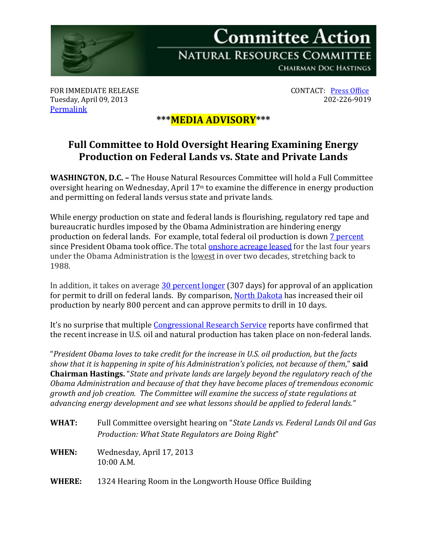

FOR IMMEDIATE RELEASE CONTACT: <u>[Press Office](http://naturalresources.house.gov/contact/media.htm)</u><br>Tuesday, April 09, 2013 202-226-9019 Tuesday, April 09, 2013 [Permalink](http://naturalresources.house.gov/news/documentsingle.aspx?DocumentID=327116)

## **\*\*\*MEDIA ADVISORY\*\*\***

## **Full Committee to Hold Oversight Hearing Examining Energy Production on Federal Lands vs. State and Private Lands**

**WASHINGTON, D.C. –** The House Natural Resources Committee will hold a Full Committee oversight hearing on Wednesday, April  $17<sup>th</sup>$  to examine the difference in energy production and permitting on federal lands versus state and private lands.

While energy production on state and federal lands is flourishing, regulatory red tape and bureaucratic hurdles imposed by the Obama Administration are hindering energy production on federal lands. For example, total federal oil production is down [7 percent](http://www.eia.gov/analysis/requests/federallands/pdf/eia-federallandsales.pdf) since President Obama took office. The total [onshore acreage leased](http://www.blm.gov/wo/st/en/prog/energy/oil_and_gas/statistics/Table05.html) for the last four years under the Obama Administration is the lowest in over two decades, stretching back to 1988.

In addition, it takes on average [30 percent longer](http://www.blm.gov/wo/st/en/prog/energy/oil_and_gas/statistics/apd_chart.html) (307 days) for approval of an application for permit to drill on federal lands. By comparison, [North Dakota](http://www.instituteforenergyresearch.org/wp-content/uploads/2012/09/Time-required-to-drill-1-sm.png) has increased their oil production by nearly 800 percent and can approve permits to drill in 10 days.

It's no surprise that multiple [Congressional Research Service](http://naturalresources.house.gov/news/documentsingle.aspx?DocumentID=286395) reports have confirmed that the recent increase in U.S. oil and natural production has taken place on non-federal lands.

"*President Obama loves to take credit for the increase in U.S. oil production, but the facts show that it is happening in spite of his Administration's policies, not because of them*," **said Chairman Hastings.** "*State and private lands are largely beyond the regulatory reach of the Obama Administration and because of that they have become places of tremendous economic growth and job creation. The Committee will examine the success of state regulations at advancing energy development and see what lessons should be applied to federal lands."* 

- **WHAT:** Full Committee oversight hearing on "*State Lands vs. Federal Lands Oil and Gas Production: What State Regulators are Doing Right*"
- **WHEN:** Wednesday, April 17, 2013 10:00 A.M.
- **WHERE:** 1324 Hearing Room in the Longworth House Office Building